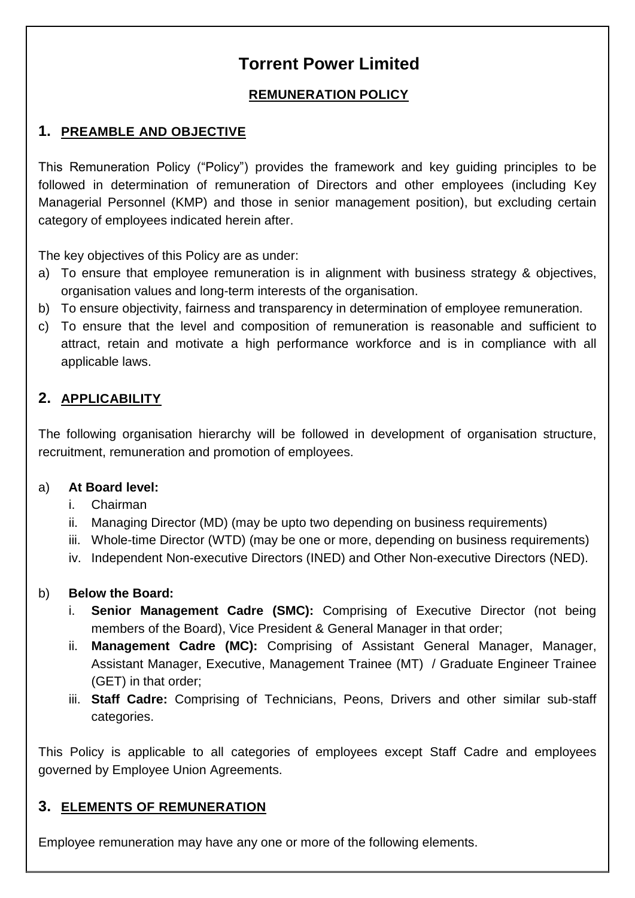# **Torrent Power Limited**

#### **REMUNERATION POLICY**

## **1. PREAMBLE AND OBJECTIVE**

This Remuneration Policy ("Policy") provides the framework and key guiding principles to be followed in determination of remuneration of Directors and other employees (including Key Managerial Personnel (KMP) and those in senior management position), but excluding certain category of employees indicated herein after.

The key objectives of this Policy are as under:

- a) To ensure that employee remuneration is in alignment with business strategy & objectives, organisation values and long-term interests of the organisation.
- b) To ensure objectivity, fairness and transparency in determination of employee remuneration.
- c) To ensure that the level and composition of remuneration is reasonable and sufficient to attract, retain and motivate a high performance workforce and is in compliance with all applicable laws.

## **2. APPLICABILITY**

The following organisation hierarchy will be followed in development of organisation structure, recruitment, remuneration and promotion of employees.

#### a) **At Board level:**

- i. Chairman
- ii. Managing Director (MD) (may be upto two depending on business requirements)
- iii. Whole-time Director (WTD) (may be one or more, depending on business requirements)
- iv. Independent Non-executive Directors (INED) and Other Non-executive Directors (NED).

#### b) **Below the Board:**

- **Senior Management Cadre (SMC):** Comprising of Executive Director (not being members of the Board), Vice President & General Manager in that order;
- ii. **Management Cadre (MC):** Comprising of Assistant General Manager, Manager, Assistant Manager, Executive, Management Trainee (MT) / Graduate Engineer Trainee (GET) in that order;
- iii. **Staff Cadre:** Comprising of Technicians, Peons, Drivers and other similar sub-staff categories.

This Policy is applicable to all categories of employees except Staff Cadre and employees governed by Employee Union Agreements.

#### **3. ELEMENTS OF REMUNERATION**

Employee remuneration may have any one or more of the following elements.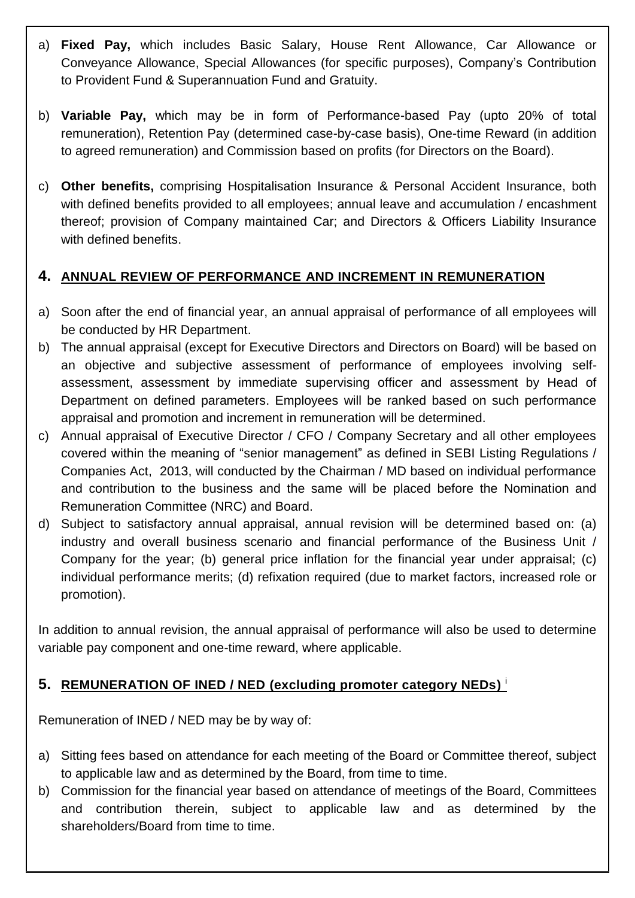- a) **Fixed Pay,** which includes Basic Salary, House Rent Allowance, Car Allowance or Conveyance Allowance, Special Allowances (for specific purposes), Company's Contribution to Provident Fund & Superannuation Fund and Gratuity.
- b) **Variable Pay,** which may be in form of Performance-based Pay (upto 20% of total remuneration), Retention Pay (determined case-by-case basis), One-time Reward (in addition to agreed remuneration) and Commission based on profits (for Directors on the Board).
- c) **Other benefits,** comprising Hospitalisation Insurance & Personal Accident Insurance, both with defined benefits provided to all employees; annual leave and accumulation / encashment thereof; provision of Company maintained Car; and Directors & Officers Liability Insurance with defined benefits.

## **4. ANNUAL REVIEW OF PERFORMANCE AND INCREMENT IN REMUNERATION**

- a) Soon after the end of financial year, an annual appraisal of performance of all employees will be conducted by HR Department.
- b) The annual appraisal (except for Executive Directors and Directors on Board) will be based on an objective and subjective assessment of performance of employees involving selfassessment, assessment by immediate supervising officer and assessment by Head of Department on defined parameters. Employees will be ranked based on such performance appraisal and promotion and increment in remuneration will be determined.
- c) Annual appraisal of Executive Director / CFO / Company Secretary and all other employees covered within the meaning of "senior management" as defined in SEBI Listing Regulations / Companies Act, 2013, will conducted by the Chairman / MD based on individual performance and contribution to the business and the same will be placed before the Nomination and Remuneration Committee (NRC) and Board.
- d) Subject to satisfactory annual appraisal, annual revision will be determined based on: (a) industry and overall business scenario and financial performance of the Business Unit / Company for the year; (b) general price inflation for the financial year under appraisal; (c) individual performance merits; (d) refixation required (due to market factors, increased role or promotion).

In addition to annual revision, the annual appraisal of performance will also be used to determine variable pay component and one-time reward, where applicable.

#### **5. REMUNERATION OF INED / NED (excluding promoter category NEDs)** i

Remuneration of INED / NED may be by way of:

- a) Sitting fees based on attendance for each meeting of the Board or Committee thereof, subject to applicable law and as determined by the Board, from time to time.
- b) Commission for the financial year based on attendance of meetings of the Board, Committees and contribution therein, subject to applicable law and as determined by the shareholders/Board from time to time.